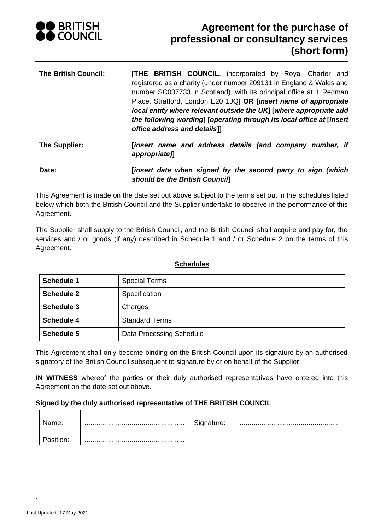

| <b>The British Council:</b> | <b>[THE BRITISH COUNCIL, incorporated by Royal Charter and</b><br>registered as a charity (under number 209131 in England & Wales and |
|-----------------------------|---------------------------------------------------------------------------------------------------------------------------------------|
|                             | number SC037733 in Scotland), with its principal office at 1 Redman                                                                   |
|                             | Place, Stratford, London E20 1JQ  OR [insert name of appropriate                                                                      |
|                             | local entity where relevant outside the UK] [where appropriate add                                                                    |
|                             | the following wording] [operating through its local office at [insert<br>office address and details]]                                 |
| The Supplier:               | [insert name and address details (and company number, if<br>appropriate)]                                                             |
| Date:                       | [insert date when signed by the second party to sign (which                                                                           |

*should be the British Council***]** This Agreement is made on the date set out above subject to the terms set out in the schedules listed below which both the British Council and the Supplier undertake to observe in the performance of this

Agreement.

The Supplier shall supply to the British Council, and the British Council shall acquire and pay for, the services and / or goods (if any) described in Schedule 1 and / or Schedule 2 on the terms of this Agreement.

| <b>Schedule 1</b> | <b>Special Terms</b>     |
|-------------------|--------------------------|
| <b>Schedule 2</b> | Specification            |
| <b>Schedule 3</b> | Charges                  |
| <b>Schedule 4</b> | <b>Standard Terms</b>    |
| <b>Schedule 5</b> | Data Processing Schedule |

# **Schedules**

This Agreement shall only become binding on the British Council upon its signature by an authorised signatory of the British Council subsequent to signature by or on behalf of the Supplier.

**IN WITNESS** whereof the parties or their duly authorised representatives have entered into this Agreement on the date set out above.

# **Signed by the duly authorised representative of THE BRITISH COUNCIL**

| lame: | ignature:<br>וט - |  |
|-------|-------------------|--|
|       |                   |  |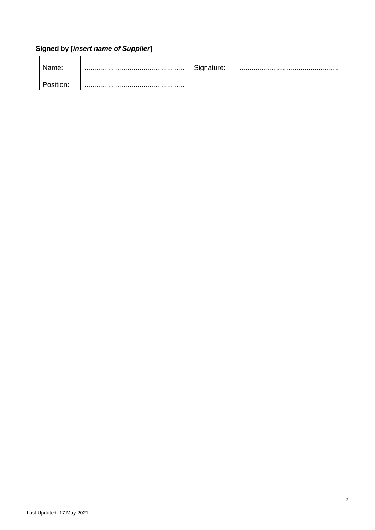# **Signed by [***insert name of Supplier***]**

<span id="page-1-0"></span>

| Name:     | Signature: |  |
|-----------|------------|--|
| `osition: |            |  |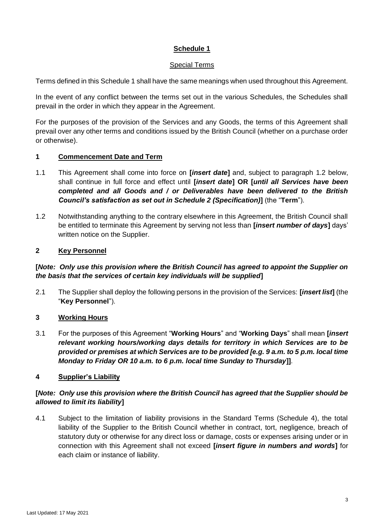# Special Terms

Terms defined in this Schedule 1 shall have the same meanings when used throughout this Agreement.

In the event of any conflict between the terms set out in the various Schedules, the Schedules shall prevail in the order in which they appear in the Agreement.

For the purposes of the provision of the Services and any Goods, the terms of this Agreement shall prevail over any other terms and conditions issued by the British Council (whether on a purchase order or otherwise).

# **1 Commencement Date and Term**

- 1.1 This Agreement shall come into force on **[***insert date***]** and, subject to paragraph [1.2](#page-2-0) below, shall continue in full force and effect until **[***insert date***] OR [***until all Services have been completed and all Goods and / or Deliverables have been delivered to the British Council's satisfaction as set out in Schedule 2 (Specification)***]** (the "**Term**").
- <span id="page-2-0"></span>1.2 Notwithstanding anything to the contrary elsewhere in this Agreement, the British Council shall be entitled to terminate this Agreement by serving not less than **[***insert number of days***]** days' written notice on the Supplier.

# **2 Key Personnel**

# **[***Note: Only use this provision where the British Council has agreed to appoint the Supplier on the basis that the services of certain key individuals will be supplied***]**

2.1 The Supplier shall deploy the following persons in the provision of the Services: **[***insert list***]** (the "**Key Personnel**").

# **3 Working Hours**

3.1 For the purposes of this Agreement "**Working Hours**" and "**Working Days**" shall mean **[***insert relevant working hours/working days details for territory in which Services are to be provided or premises at which Services are to be provided [e.g. 9 a.m. to 5 p.m. local time Monday to Friday OR 10 a.m. to 6 p.m. local time Sunday to Thursday***]]**.

# **4 Supplier's Liability**

# **[***Note: Only use this provision where the British Council has agreed that the Supplier should be allowed to limit its liability***]**

4.1 Subject to the limitation of liability provisions in the Standard Terms (Schedule 4), the total liability of the Supplier to the British Council whether in contract, tort, negligence, breach of statutory duty or otherwise for any direct loss or damage, costs or expenses arising under or in connection with this Agreement shall not exceed **[***insert figure in numbers and words***]** for each claim or instance of liability.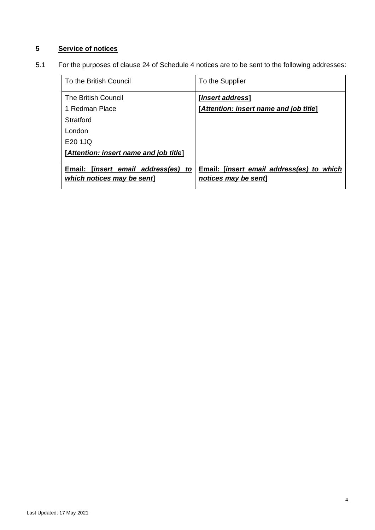# <span id="page-3-0"></span>**5 Service of notices**

5.1 For the purposes of clause [24](#page-24-0) of Schedule 4 notices are to be sent to the following addresses:

| To the British Council                                                   | To the Supplier                                                  |
|--------------------------------------------------------------------------|------------------------------------------------------------------|
| <b>The British Council</b>                                               | [ <i>Insert address</i> ]                                        |
| 1 Redman Place                                                           | [Attention: insert name and job title]                           |
| Stratford                                                                |                                                                  |
| London                                                                   |                                                                  |
| $E20 1$ JO                                                               |                                                                  |
| [Attention: insert name and job title]                                   |                                                                  |
| Email: [ <i>insert email address(es) to</i><br>which notices may be sent | Email: [insert email address(es) to which<br>notices may be sent |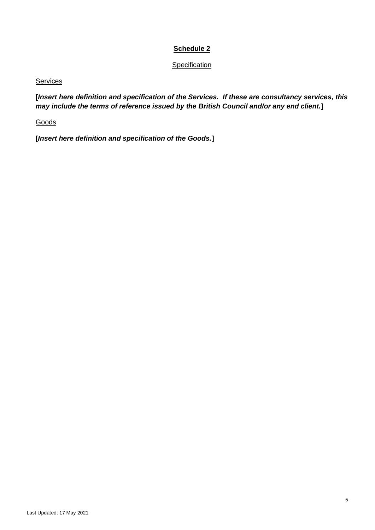**Specification** 

# Services

**[***Insert here definition and specification of the Services. If these are consultancy services, this may include the terms of reference issued by the British Council and/or any end client.***]**

**Goods** 

**[***Insert here definition and specification of the Goods.***]**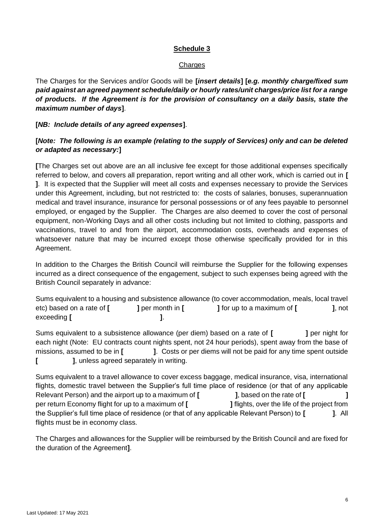#### **Charges**

The Charges for the Services and/or Goods will be **[***insert details***] [***e.g. monthly charge/fixed sum paid against an agreed payment schedule/daily or hourly rates/unit charges/price list for a range of products. If the Agreement is for the provision of consultancy on a daily basis, state the maximum number of days***]**.

# **[***NB: Include details of any agreed expenses***]**.

# **[***Note: The following is an example (relating to the supply of Services) only and can be deleted or adapted as necessary:***]**

**[**The Charges set out above are an all inclusive fee except for those additional expenses specifically referred to below, and covers all preparation, report writing and all other work, which is carried out in **[ ]**. It is expected that the Supplier will meet all costs and expenses necessary to provide the Services under this Agreement, including, but not restricted to: the costs of salaries, bonuses, superannuation medical and travel insurance, insurance for personal possessions or of any fees payable to personnel employed, or engaged by the Supplier. The Charges are also deemed to cover the cost of personal equipment, non-Working Days and all other costs including but not limited to clothing, passports and vaccinations, travel to and from the airport, accommodation costs, overheads and expenses of whatsoever nature that may be incurred except those otherwise specifically provided for in this Agreement.

In addition to the Charges the British Council will reimburse the Supplier for the following expenses incurred as a direct consequence of the engagement, subject to such expenses being agreed with the British Council separately in advance:

Sums equivalent to a housing and subsistence allowance (to cover accommodation, meals, local travel etc) based on a rate of **[ ]** per month in **[ ]** for up to a maximum of **[ ]**, not exceeding **[**  $\qquad \qquad$  **]**.

Sums equivalent to a subsistence allowance (per diem) based on a rate of [ **]** per night for each night (Note: EU contracts count nights spent, not 24 hour periods), spent away from the base of missions, assumed to be in **[ ]**. Costs or per diems will not be paid for any time spent outside **[ ]**, unless agreed separately in writing.

Sums equivalent to a travel allowance to cover excess baggage, medical insurance, visa, international flights, domestic travel between the Supplier's full time place of residence (or that of any applicable Relevant Person) and the airport up to a maximum of **[ ]**, based on the rate of **[ ]** per return Economy flight for up to a maximum of **[ ]** flights, over the life of the project from the Supplier's full time place of residence (or that of any applicable Relevant Person) to **[ ]**. All flights must be in economy class.

The Charges and allowances for the Supplier will be reimbursed by the British Council and are fixed for the duration of the Agreement**]**.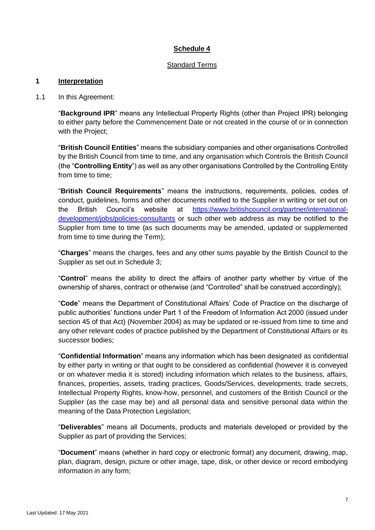# Standard Terms

# **1 Interpretation**

#### 1.1 In this Agreement:

"**Background IPR**" means any Intellectual Property Rights (other than Project IPR) belonging to either party before the Commencement Date or not created in the course of or in connection with the Project;

"**British Council Entities**" means the subsidiary companies and other organisations Controlled by the British Council from time to time, and any organisation which Controls the British Council (the "**Controlling Entity**") as well as any other organisations Controlled by the Controlling Entity from time to time;

"**British Council Requirements**" means the instructions, requirements, policies, codes of conduct, guidelines, forms and other documents notified to the Supplier in writing or set out on the British Council's website at [https://www.britishcouncil.org/partner/international](https://www.britishcouncil.org/partner/international-development/jobs/policies-consultants)[development/jobs/policies-consultants](https://www.britishcouncil.org/partner/international-development/jobs/policies-consultants) or such other web address as may be notified to the Supplier from time to time (as such documents may be amended, updated or supplemented from time to time during the Term);

"**Charges**" means the charges, fees and any other sums payable by the British Council to the Supplier as set out in Schedule 3;

"**Control**" means the ability to direct the affairs of another party whether by virtue of the ownership of shares, contract or otherwise (and "Controlled" shall be construed accordingly);

"**Code**" means the Department of Constitutional Affairs' Code of Practice on the discharge of public authorities' functions under Part 1 of the Freedom of Information Act 2000 (issued under section 45 of that Act) (November 2004) as may be updated or re-issued from time to time and any other relevant codes of practice published by the Department of Constitutional Affairs or its successor bodies;

"**Confidential Information**" means any information which has been designated as confidential by either party in writing or that ought to be considered as confidential (however it is conveyed or on whatever media it is stored) including information which relates to the business, affairs, finances, properties, assets, trading practices, Goods/Services, developments, trade secrets, Intellectual Property Rights, know-how, personnel, and customers of the British Council or the Supplier (as the case may be) and all personal data and sensitive personal data within the meaning of the Data Protection Legislation;

"**Deliverables**" means all Documents, products and materials developed or provided by the Supplier as part of providing the Services;

"**Document**" means (whether in hard copy or electronic format) any document, drawing, map, plan, diagram, design, picture or other image, tape, disk, or other device or record embodying information in any form;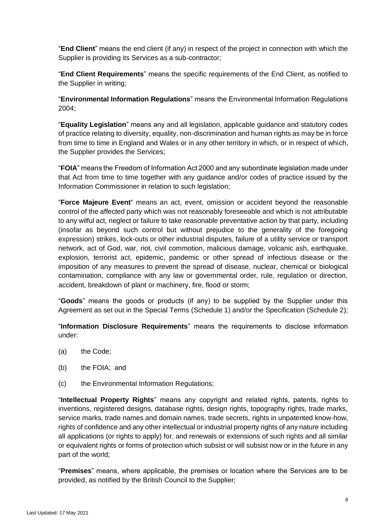"**End Client**" means the end client (if any) in respect of the project in connection with which the Supplier is providing its Services as a sub-contractor;

"**End Client Requirements**" means the specific requirements of the End Client, as notified to the Supplier in writing;

"**Environmental Information Regulations**" means the Environmental Information Regulations 2004;

"**Equality Legislation**" means any and all legislation, applicable guidance and statutory codes of practice relating to diversity, equality, non-discrimination and human rights as may be in force from time to time in England and Wales or in any other territory in which, or in respect of which, the Supplier provides the Services;

"**FOIA**" means the Freedom of Information Act 2000 and any subordinate legislation made under that Act from time to time together with any guidance and/or codes of practice issued by the Information Commissioner in relation to such legislation;

"**Force Majeure Event**" means an act, event, omission or accident beyond the reasonable control of the affected party which was not reasonably foreseeable and which is not attributable to any wilful act, neglect or failure to take reasonable preventative action by that party, including (insofar as beyond such control but without prejudice to the generality of the foregoing expression) strikes, lock-outs or other industrial disputes, failure of a utility service or transport network, act of God, war, riot, civil commotion, malicious damage, volcanic ash, earthquake, explosion, terrorist act, epidemic, pandemic or other spread of infectious disease or the imposition of any measures to prevent the spread of disease, nuclear, chemical or biological contamination, compliance with any law or governmental order, rule, regulation or direction, accident, breakdown of plant or machinery, fire, flood or storm;

"**Goods**" means the goods or products (if any) to be supplied by the Supplier under this Agreement as set out in the Special Terms (Schedule 1) and/or the Specification (Schedule 2);

"**Information Disclosure Requirements**" means the requirements to disclose information under:

- (a) the Code;
- (b) the FOIA; and
- (c) the Environmental Information Regulations;

"**Intellectual Property Rights**" means any copyright and related rights, patents, rights to inventions, registered designs, database rights, design rights, topography rights, trade marks, service marks, trade names and domain names, trade secrets, rights in unpatented know-how, rights of confidence and any other intellectual or industrial property rights of any nature including all applications (or rights to apply) for, and renewals or extensions of such rights and all similar or equivalent rights or forms of protection which subsist or will subsist now or in the future in any part of the world;

"**Premises**" means, where applicable, the premises or location where the Services are to be provided, as notified by the British Council to the Supplier;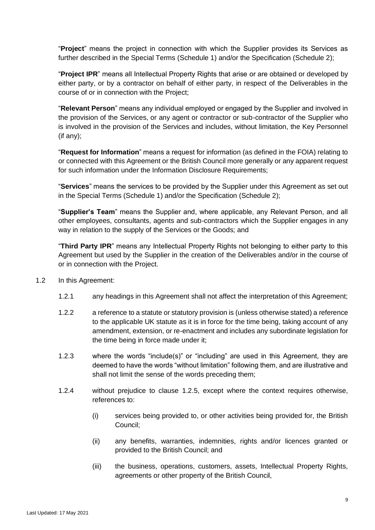"**Project**" means the project in connection with which the Supplier provides its Services as further described in the Special Terms (Schedule 1) and/or the Specification (Schedule 2);

"**Project IPR**" means all Intellectual Property Rights that arise or are obtained or developed by either party, or by a contractor on behalf of either party, in respect of the Deliverables in the course of or in connection with the Project;

"**Relevant Person**" means any individual employed or engaged by the Supplier and involved in the provision of the Services, or any agent or contractor or sub-contractor of the Supplier who is involved in the provision of the Services and includes, without limitation, the Key Personnel (if any);

"**Request for Information**" means a request for information (as defined in the FOIA) relating to or connected with this Agreement or the British Council more generally or any apparent request for such information under the Information Disclosure Requirements;

"**Services**" means the services to be provided by the Supplier under this Agreement as set out in the Special Terms (Schedule 1) and/or the Specification (Schedule 2);

"**Supplier's Team**" means the Supplier and, where applicable, any Relevant Person, and all other employees, consultants, agents and sub-contractors which the Supplier engages in any way in relation to the supply of the Services or the Goods; and

"**Third Party IPR**" means any Intellectual Property Rights not belonging to either party to this Agreement but used by the Supplier in the creation of the Deliverables and/or in the course of or in connection with the Project.

- <span id="page-8-0"></span>1.2 In this Agreement:
	- 1.2.1 any headings in this Agreement shall not affect the interpretation of this Agreement;
	- 1.2.2 a reference to a statute or statutory provision is (unless otherwise stated) a reference to the applicable UK statute as it is in force for the time being, taking account of any amendment, extension, or re-enactment and includes any subordinate legislation for the time being in force made under it;
	- 1.2.3 where the words "include(s)" or "including" are used in this Agreement, they are deemed to have the words "without limitation" following them, and are illustrative and shall not limit the sense of the words preceding them;
	- 1.2.4 without prejudice to clause [1.2.5,](#page-9-0) except where the context requires otherwise, references to:
		- (i) services being provided to, or other activities being provided for, the British Council;
		- (ii) any benefits, warranties, indemnities, rights and/or licences granted or provided to the British Council; and
		- (iii) the business, operations, customers, assets, Intellectual Property Rights, agreements or other property of the British Council,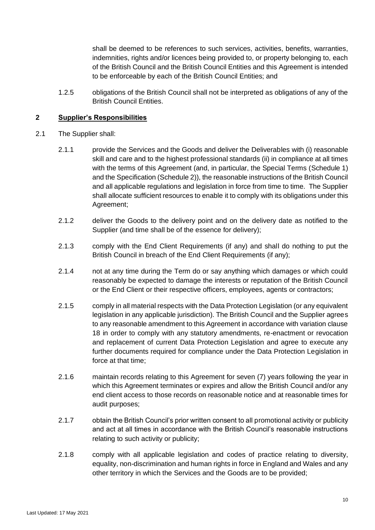shall be deemed to be references to such services, activities, benefits, warranties, indemnities, rights and/or licences being provided to, or property belonging to, each of the British Council and the British Council Entities and this Agreement is intended to be enforceable by each of the British Council Entities; and

<span id="page-9-0"></span>1.2.5 obligations of the British Council shall not be interpreted as obligations of any of the British Council Entities.

# **2 Supplier's Responsibilities**

- 2.1 The Supplier shall:
	- 2.1.1 provide the Services and the Goods and deliver the Deliverables with (i) reasonable skill and care and to the highest professional standards (ii) in compliance at all times with the terms of this Agreement (and, in particular, the Special Terms [\(Schedule 1\)](#page-1-0) and the Specification (Schedule 2)), the reasonable instructions of the British Council and all applicable regulations and legislation in force from time to time. The Supplier shall allocate sufficient resources to enable it to comply with its obligations under this Agreement;
	- 2.1.2 deliver the Goods to the delivery point and on the delivery date as notified to the Supplier (and time shall be of the essence for delivery);
	- 2.1.3 comply with the End Client Requirements (if any) and shall do nothing to put the British Council in breach of the End Client Requirements (if any);
	- 2.1.4 not at any time during the Term do or say anything which damages or which could reasonably be expected to damage the interests or reputation of the British Council or the End Client or their respective officers, employees, agents or contractors;
	- 2.1.5 comply in all material respects with the Data Protection Legislation (or any equivalent legislation in any applicable jurisdiction). The British Council and the Supplier agrees to any reasonable amendment to this Agreement in accordance with variation clause [18](#page-22-0) in order to comply with any statutory amendments, re-enactment or revocation and replacement of current Data Protection Legislation and agree to execute any further documents required for compliance under the Data Protection Legislation in force at that time;
	- 2.1.6 maintain records relating to this Agreement for seven (7) years following the year in which this Agreement terminates or expires and allow the British Council and/or any end client access to those records on reasonable notice and at reasonable times for audit purposes;
	- 2.1.7 obtain the British Council's prior written consent to all promotional activity or publicity and act at all times in accordance with the British Council's reasonable instructions relating to such activity or publicity;
	- 2.1.8 comply with all applicable legislation and codes of practice relating to diversity, equality, non-discrimination and human rights in force in England and Wales and any other territory in which the Services and the Goods are to be provided;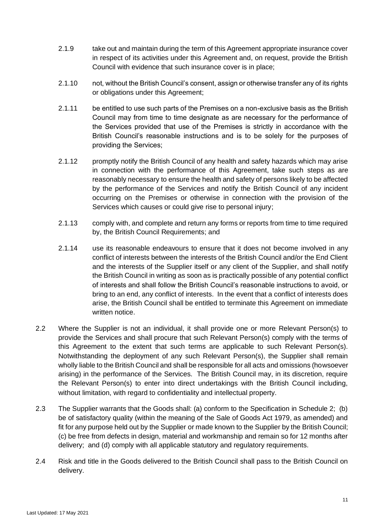- 2.1.9 take out and maintain during the term of this Agreement appropriate insurance cover in respect of its activities under this Agreement and, on request, provide the British Council with evidence that such insurance cover is in place;
- 2.1.10 not, without the British Council's consent, assign or otherwise transfer any of its rights or obligations under this Agreement;
- 2.1.11 be entitled to use such parts of the Premises on a non-exclusive basis as the British Council may from time to time designate as are necessary for the performance of the Services provided that use of the Premises is strictly in accordance with the British Council's reasonable instructions and is to be solely for the purposes of providing the Services;
- 2.1.12 promptly notify the British Council of any health and safety hazards which may arise in connection with the performance of this Agreement, take such steps as are reasonably necessary to ensure the health and safety of persons likely to be affected by the performance of the Services and notify the British Council of any incident occurring on the Premises or otherwise in connection with the provision of the Services which causes or could give rise to personal injury;
- 2.1.13 comply with, and complete and return any forms or reports from time to time required by, the British Council Requirements; and
- 2.1.14 use its reasonable endeavours to ensure that it does not become involved in any conflict of interests between the interests of the British Council and/or the End Client and the interests of the Supplier itself or any client of the Supplier, and shall notify the British Council in writing as soon as is practically possible of any potential conflict of interests and shall follow the British Council's reasonable instructions to avoid, or bring to an end, any conflict of interests. In the event that a conflict of interests does arise, the British Council shall be entitled to terminate this Agreement on immediate written notice.
- 2.2 Where the Supplier is not an individual, it shall provide one or more Relevant Person(s) to provide the Services and shall procure that such Relevant Person(s) comply with the terms of this Agreement to the extent that such terms are applicable to such Relevant Person(s). Notwithstanding the deployment of any such Relevant Person(s), the Supplier shall remain wholly liable to the British Council and shall be responsible for all acts and omissions (howsoever arising) in the performance of the Services. The British Council may, in its discretion, require the Relevant Person(s) to enter into direct undertakings with the British Council including, without limitation, with regard to confidentiality and intellectual property.
- 2.3 The Supplier warrants that the Goods shall: (a) conform to the Specification in Schedule 2; (b) be of satisfactory quality (within the meaning of the Sale of Goods Act 1979, as amended) and fit for any purpose held out by the Supplier or made known to the Supplier by the British Council; (c) be free from defects in design, material and workmanship and remain so for 12 months after delivery; and (d) comply with all applicable statutory and regulatory requirements.
- 2.4 Risk and title in the Goods delivered to the British Council shall pass to the British Council on delivery.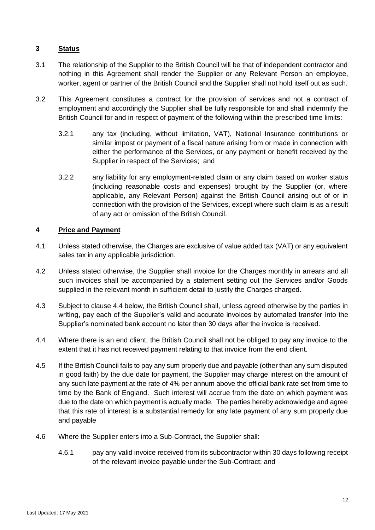# **3 Status**

- 3.1 The relationship of the Supplier to the British Council will be that of independent contractor and nothing in this Agreement shall render the Supplier or any Relevant Person an employee, worker, agent or partner of the British Council and the Supplier shall not hold itself out as such.
- 3.2 This Agreement constitutes a contract for the provision of services and not a contract of employment and accordingly the Supplier shall be fully responsible for and shall indemnify the British Council for and in respect of payment of the following within the prescribed time limits:
	- 3.2.1 any tax (including, without limitation, VAT), National Insurance contributions or similar impost or payment of a fiscal nature arising from or made in connection with either the performance of the Services, or any payment or benefit received by the Supplier in respect of the Services; and
	- 3.2.2 any liability for any employment-related claim or any claim based on worker status (including reasonable costs and expenses) brought by the Supplier (or, where applicable, any Relevant Person) against the British Council arising out of or in connection with the provision of the Services, except where such claim is as a result of any act or omission of the British Council.

# **4 Price and Payment**

- 4.1 Unless stated otherwise, the Charges are exclusive of value added tax (VAT) or any equivalent sales tax in any applicable jurisdiction.
- 4.2 Unless stated otherwise, the Supplier shall invoice for the Charges monthly in arrears and all such invoices shall be accompanied by a statement setting out the Services and/or Goods supplied in the relevant month in sufficient detail to justify the Charges charged.
- 4.3 Subject to clause [4.4](#page-11-0) below, the British Council shall, unless agreed otherwise by the parties in writing, pay each of the Supplier's valid and accurate invoices by automated transfer into the Supplier's nominated bank account no later than 30 days after the invoice is received.
- <span id="page-11-0"></span>4.4 Where there is an end client, the British Council shall not be obliged to pay any invoice to the extent that it has not received payment relating to that invoice from the end client.
- 4.5 If the British Council fails to pay any sum properly due and payable (other than any sum disputed in good faith) by the due date for payment, the Supplier may charge interest on the amount of any such late payment at the rate of 4% per annum above the official bank rate set from time to time by the Bank of England. Such interest will accrue from the date on which payment was due to the date on which payment is actually made. The parties hereby acknowledge and agree that this rate of interest is a substantial remedy for any late payment of any sum properly due and payable
- <span id="page-11-2"></span><span id="page-11-1"></span>4.6 Where the Supplier enters into a Sub-Contract, the Supplier shall:
	- 4.6.1 pay any valid invoice received from its subcontractor within 30 days following receipt of the relevant invoice payable under the Sub-Contract; and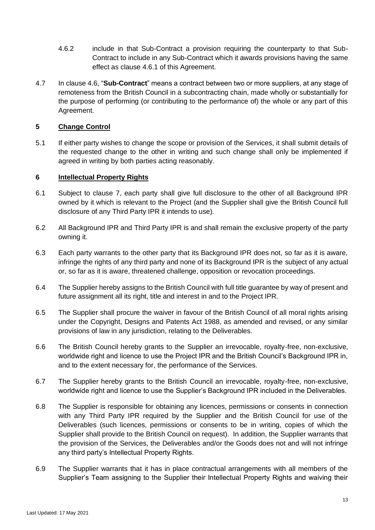- 4.6.2 include in that Sub-Contract a provision requiring the counterparty to that Sub-Contract to include in any Sub-Contract which it awards provisions having the same effect as clause [4.6.1](#page-11-1) of this Agreement.
- 4.7 In clause [4.6,](#page-11-2) "**Sub-Contract**" means a contract between two or more suppliers, at any stage of remoteness from the British Council in a subcontracting chain, made wholly or substantially for the purpose of performing (or contributing to the performance of) the whole or any part of this Agreement.

# **5 Change Control**

5.1 If either party wishes to change the scope or provision of the Services, it shall submit details of the requested change to the other in writing and such change shall only be implemented if agreed in writing by both parties acting reasonably.

#### <span id="page-12-0"></span>**6 Intellectual Property Rights**

- 6.1 Subject to clause [7,](#page-13-0) each party shall give full disclosure to the other of all Background IPR owned by it which is relevant to the Project (and the Supplier shall give the British Council full disclosure of any Third Party IPR it intends to use).
- 6.2 All Background IPR and Third Party IPR is and shall remain the exclusive property of the party owning it.
- 6.3 Each party warrants to the other party that its Background IPR does not, so far as it is aware, infringe the rights of any third party and none of its Background IPR is the subject of any actual or, so far as it is aware, threatened challenge, opposition or revocation proceedings.
- 6.4 The Supplier hereby assigns to the British Council with full title guarantee by way of present and future assignment all its right, title and interest in and to the Project IPR.
- 6.5 The Supplier shall procure the waiver in favour of the British Council of all moral rights arising under the Copyright, Designs and Patents Act 1988, as amended and revised, or any similar provisions of law in any jurisdiction, relating to the Deliverables.
- 6.6 The British Council hereby grants to the Supplier an irrevocable, royalty-free, non-exclusive, worldwide right and licence to use the Project IPR and the British Council's Background IPR in, and to the extent necessary for, the performance of the Services.
- 6.7 The Supplier hereby grants to the British Council an irrevocable, royalty-free, non-exclusive, worldwide right and licence to use the Supplier's Background IPR included in the Deliverables.
- 6.8 The Supplier is responsible for obtaining any licences, permissions or consents in connection with any Third Party IPR required by the Supplier and the British Council for use of the Deliverables (such licences, permissions or consents to be in writing, copies of which the Supplier shall provide to the British Council on request). In addition, the Supplier warrants that the provision of the Services, the Deliverables and/or the Goods does not and will not infringe any third party's Intellectual Property Rights.
- 6.9 The Supplier warrants that it has in place contractual arrangements with all members of the Supplier's Team assigning to the Supplier their Intellectual Property Rights and waiving their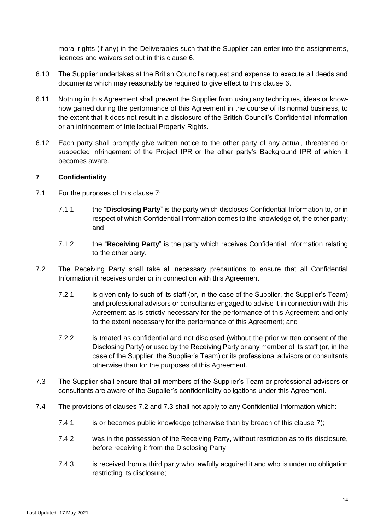moral rights (if any) in the Deliverables such that the Supplier can enter into the assignments, licences and waivers set out in this clause [6.](#page-12-0)

- 6.10 The Supplier undertakes at the British Council's request and expense to execute all deeds and documents which may reasonably be required to give effect to this clause [6.](#page-12-0)
- 6.11 Nothing in this Agreement shall prevent the Supplier from using any techniques, ideas or knowhow gained during the performance of this Agreement in the course of its normal business, to the extent that it does not result in a disclosure of the British Council's Confidential Information or an infringement of Intellectual Property Rights.
- 6.12 Each party shall promptly give written notice to the other party of any actual, threatened or suspected infringement of the Project IPR or the other party's Background IPR of which it becomes aware.

# <span id="page-13-0"></span>**7 Confidentiality**

- 7.1 For the purposes of this clause [7:](#page-13-0)
	- 7.1.1 the "**Disclosing Party**" is the party which discloses Confidential Information to, or in respect of which Confidential Information comes to the knowledge of, the other party; and
	- 7.1.2 the "**Receiving Party**" is the party which receives Confidential Information relating to the other party.
- <span id="page-13-1"></span>7.2 The Receiving Party shall take all necessary precautions to ensure that all Confidential Information it receives under or in connection with this Agreement:
	- 7.2.1 is given only to such of its staff (or, in the case of the Supplier, the Supplier's Team) and professional advisors or consultants engaged to advise it in connection with this Agreement as is strictly necessary for the performance of this Agreement and only to the extent necessary for the performance of this Agreement; and
	- 7.2.2 is treated as confidential and not disclosed (without the prior written consent of the Disclosing Party) or used by the Receiving Party or any member of its staff (or, in the case of the Supplier, the Supplier's Team) or its professional advisors or consultants otherwise than for the purposes of this Agreement.
- <span id="page-13-2"></span>7.3 The Supplier shall ensure that all members of the Supplier's Team or professional advisors or consultants are aware of the Supplier's confidentiality obligations under this Agreement.
- 7.4 The provisions of clauses [7.2](#page-13-1) and [7.3](#page-13-2) shall not apply to any Confidential Information which:
	- 7.4.1 is or becomes public knowledge (otherwise than by breach of this clause [7\)](#page-13-0);
	- 7.4.2 was in the possession of the Receiving Party, without restriction as to its disclosure, before receiving it from the Disclosing Party;
	- 7.4.3 is received from a third party who lawfully acquired it and who is under no obligation restricting its disclosure;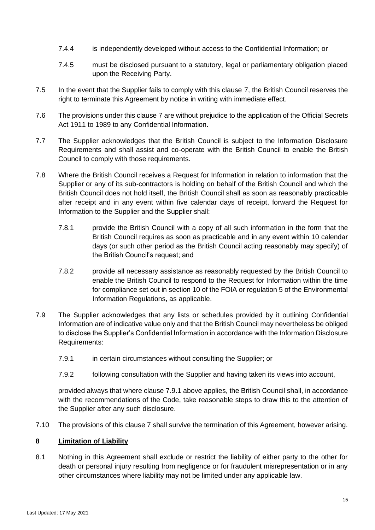- 7.4.4 is independently developed without access to the Confidential Information; or
- 7.4.5 must be disclosed pursuant to a statutory, legal or parliamentary obligation placed upon the Receiving Party.
- 7.5 In the event that the Supplier fails to comply with this clause [7,](#page-13-0) the British Council reserves the right to terminate this Agreement by notice in writing with immediate effect.
- 7.6 The provisions under this clause [7](#page-13-0) are without prejudice to the application of the Official Secrets Act 1911 to 1989 to any Confidential Information.
- 7.7 The Supplier acknowledges that the British Council is subject to the Information Disclosure Requirements and shall assist and co-operate with the British Council to enable the British Council to comply with those requirements.
- 7.8 Where the British Council receives a Request for Information in relation to information that the Supplier or any of its sub-contractors is holding on behalf of the British Council and which the British Council does not hold itself, the British Council shall as soon as reasonably practicable after receipt and in any event within five calendar days of receipt, forward the Request for Information to the Supplier and the Supplier shall:
	- 7.8.1 provide the British Council with a copy of all such information in the form that the British Council requires as soon as practicable and in any event within 10 calendar days (or such other period as the British Council acting reasonably may specify) of the British Council's request; and
	- 7.8.2 provide all necessary assistance as reasonably requested by the British Council to enable the British Council to respond to the Request for Information within the time for compliance set out in section 10 of the FOIA or regulation 5 of the Environmental Information Regulations, as applicable.
- <span id="page-14-0"></span>7.9 The Supplier acknowledges that any lists or schedules provided by it outlining Confidential Information are of indicative value only and that the British Council may nevertheless be obliged to disclose the Supplier's Confidential Information in accordance with the Information Disclosure Requirements:
	- 7.9.1 in certain circumstances without consulting the Supplier; or
	- 7.9.2 following consultation with the Supplier and having taken its views into account,

provided always that where clause [7.9.1](#page-14-0) above applies, the British Council shall, in accordance with the recommendations of the Code, take reasonable steps to draw this to the attention of the Supplier after any such disclosure.

7.10 The provisions of this clause [7](#page-13-0) shall survive the termination of this Agreement, however arising.

# **8 Limitation of Liability**

<span id="page-14-1"></span>8.1 Nothing in this Agreement shall exclude or restrict the liability of either party to the other for death or personal injury resulting from negligence or for fraudulent misrepresentation or in any other circumstances where liability may not be limited under any applicable law.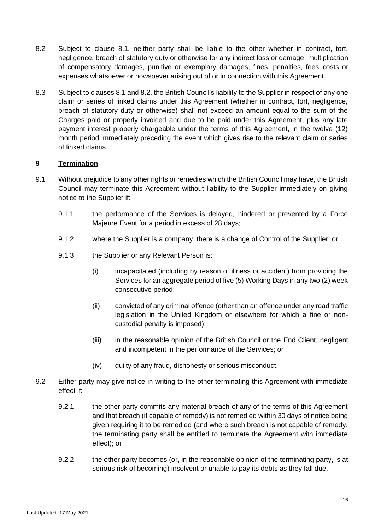- <span id="page-15-0"></span>8.2 Subject to clause [8.1,](#page-14-1) neither party shall be liable to the other whether in contract, tort, negligence, breach of statutory duty or otherwise for any indirect loss or damage, multiplication of compensatory damages, punitive or exemplary damages, fines, penalties, fees costs or expenses whatsoever or howsoever arising out of or in connection with this Agreement.
- 8.3 Subject to clauses [8.1](#page-14-1) and [8.2,](#page-15-0) the British Council's liability to the Supplier in respect of any one claim or series of linked claims under this Agreement (whether in contract, tort, negligence, breach of statutory duty or otherwise) shall not exceed an amount equal to the sum of the Charges paid or properly invoiced and due to be paid under this Agreement, plus any late payment interest properly chargeable under the terms of this Agreement, in the twelve (12) month period immediately preceding the event which gives rise to the relevant claim or series of linked claims.

# **9 Termination**

- 9.1 Without prejudice to any other rights or remedies which the British Council may have, the British Council may terminate this Agreement without liability to the Supplier immediately on giving notice to the Supplier if:
	- 9.1.1 the performance of the Services is delayed, hindered or prevented by a Force Majeure Event for a period in excess of 28 days;
	- 9.1.2 where the Supplier is a company, there is a change of Control of the Supplier; or
	- 9.1.3 the Supplier or any Relevant Person is:
		- (i) incapacitated (including by reason of illness or accident) from providing the Services for an aggregate period of five (5) Working Days in any two (2) week consecutive period;
		- (ii) convicted of any criminal offence (other than an offence under any road traffic legislation in the United Kingdom or elsewhere for which a fine or noncustodial penalty is imposed);
		- (iii) in the reasonable opinion of the British Council or the End Client, negligent and incompetent in the performance of the Services; or
		- (iv) guilty of any fraud, dishonesty or serious misconduct.
- <span id="page-15-1"></span>9.2 Either party may give notice in writing to the other terminating this Agreement with immediate effect if:
	- 9.2.1 the other party commits any material breach of any of the terms of this Agreement and that breach (if capable of remedy) is not remedied within 30 days of notice being given requiring it to be remedied (and where such breach is not capable of remedy, the terminating party shall be entitled to terminate the Agreement with immediate effect); or
	- 9.2.2 the other party becomes (or, in the reasonable opinion of the terminating party, is at serious risk of becoming) insolvent or unable to pay its debts as they fall due.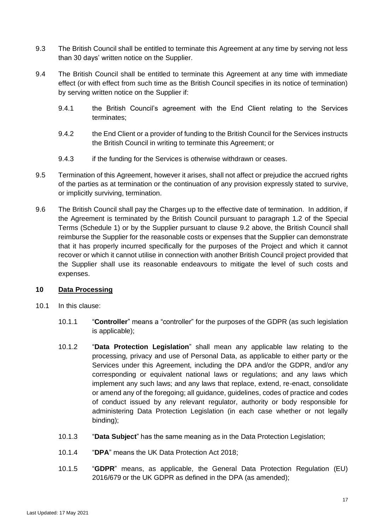- 9.3 The British Council shall be entitled to terminate this Agreement at any time by serving not less than 30 days' written notice on the Supplier.
- 9.4 The British Council shall be entitled to terminate this Agreement at any time with immediate effect (or with effect from such time as the British Council specifies in its notice of termination) by serving written notice on the Supplier if:
	- 9.4.1 the British Council's agreement with the End Client relating to the Services terminates;
	- 9.4.2 the End Client or a provider of funding to the British Council for the Services instructs the British Council in writing to terminate this Agreement; or
	- 9.4.3 if the funding for the Services is otherwise withdrawn or ceases.
- 9.5 Termination of this Agreement, however it arises, shall not affect or prejudice the accrued rights of the parties as at termination or the continuation of any provision expressly stated to survive, or implicitly surviving, termination.
- 9.6 The British Council shall pay the Charges up to the effective date of termination. In addition, if the Agreement is terminated by the British Council pursuant to paragraph [1.2](#page-2-0) of the Special Terms (Schedule 1) or by the Supplier pursuant to clause [9.2](#page-15-1) above, the British Council shall reimburse the Supplier for the reasonable costs or expenses that the Supplier can demonstrate that it has properly incurred specifically for the purposes of the Project and which it cannot recover or which it cannot utilise in connection with another British Council project provided that the Supplier shall use its reasonable endeavours to mitigate the level of such costs and expenses.

# **10 Data Processing**

- <span id="page-16-0"></span>10.1 In this clause:
	- 10.1.1 "**Controller**" means a "controller" for the purposes of the GDPR (as such legislation is applicable);
	- 10.1.2 "**Data Protection Legislation**" shall mean any applicable law relating to the processing, privacy and use of Personal Data, as applicable to either party or the Services under this Agreement, including the DPA and/or the GDPR, and/or any corresponding or equivalent national laws or regulations; and any laws which implement any such laws; and any laws that replace, extend, re-enact, consolidate or amend any of the foregoing; all guidance, guidelines, codes of practice and codes of conduct issued by any relevant regulator, authority or body responsible for administering Data Protection Legislation (in each case whether or not legally binding);
	- 10.1.3 "**Data Subject**" has the same meaning as in the Data Protection Legislation;
	- 10.1.4 "**DPA**" means the UK Data Protection Act 2018;
	- 10.1.5 "**GDPR**" means, as applicable, the General Data Protection Regulation (EU) 2016/679 or the UK GDPR as defined in the DPA (as amended);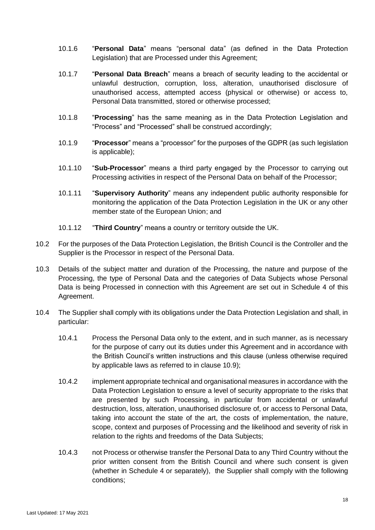- 10.1.6 "**Personal Data**" means "personal data" (as defined in the Data Protection Legislation) that are Processed under this Agreement;
- 10.1.7 "**Personal Data Breach**" means a breach of security leading to the accidental or unlawful destruction, corruption, loss, alteration, unauthorised disclosure of unauthorised access, attempted access (physical or otherwise) or access to, Personal Data transmitted, stored or otherwise processed;
- 10.1.8 "**Processing**" has the same meaning as in the Data Protection Legislation and "Process" and "Processed" shall be construed accordingly;
- 10.1.9 "**Processor**" means a "processor" for the purposes of the GDPR (as such legislation is applicable);
- 10.1.10 "**Sub-Processor**" means a third party engaged by the Processor to carrying out Processing activities in respect of the Personal Data on behalf of the Processor;
- 10.1.11 "**Supervisory Authority**" means any independent public authority responsible for monitoring the application of the Data Protection Legislation in the UK or any other member state of the European Union; and
- 10.1.12 "**Third Country**" means a country or territory outside the UK.
- 10.2 For the purposes of the Data Protection Legislation, the British Council is the Controller and the Supplier is the Processor in respect of the Personal Data.
- 10.3 Details of the subject matter and duration of the Processing, the nature and purpose of the Processing, the type of Personal Data and the categories of Data Subjects whose Personal Data is being Processed in connection with this Agreement are set out in [Schedule 4](#page-26-0) of this Agreement.
- <span id="page-17-0"></span>10.4 The Supplier shall comply with its obligations under the Data Protection Legislation and shall, in particular:
	- 10.4.1 Process the Personal Data only to the extent, and in such manner, as is necessary for the purpose of carry out its duties under this Agreement and in accordance with the British Council's written instructions and this clause (unless otherwise required by applicable laws as referred to in clause [10.9\)](#page-19-0);
	- 10.4.2 implement appropriate technical and organisational measures in accordance with the Data Protection Legislation to ensure a level of security appropriate to the risks that are presented by such Processing, in particular from accidental or unlawful destruction, loss, alteration, unauthorised disclosure of, or access to Personal Data, taking into account the state of the art, the costs of implementation, the nature, scope, context and purposes of Processing and the likelihood and severity of risk in relation to the rights and freedoms of the Data Subjects;
	- 10.4.3 not Process or otherwise transfer the Personal Data to any Third Country without the prior written consent from the British Council and where such consent is given (whether in [Schedule 4](#page-26-0) or separately), the Supplier shall comply with the following conditions;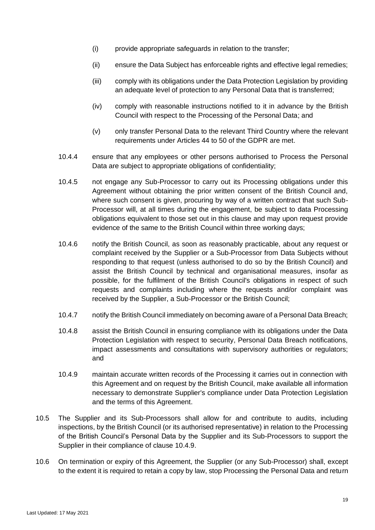- (i) provide appropriate safeguards in relation to the transfer;
- (ii) ensure the Data Subject has enforceable rights and effective legal remedies;
- (iii) comply with its obligations under the Data Protection Legislation by providing an adequate level of protection to any Personal Data that is transferred;
- (iv) comply with reasonable instructions notified to it in advance by the British Council with respect to the Processing of the Personal Data; and
- (v) only transfer Personal Data to the relevant Third Country where the relevant requirements under Articles 44 to 50 of the GDPR are met.
- 10.4.4 ensure that any employees or other persons authorised to Process the Personal Data are subject to appropriate obligations of confidentiality;
- 10.4.5 not engage any Sub-Processor to carry out its Processing obligations under this Agreement without obtaining the prior written consent of the British Council and, where such consent is given, procuring by way of a written contract that such Sub-Processor will, at all times during the engagement, be subject to data Processing obligations equivalent to those set out in this clause and may upon request provide evidence of the same to the British Council within three working days;
- 10.4.6 notify the British Council, as soon as reasonably practicable, about any request or complaint received by the Supplier or a Sub-Processor from Data Subjects without responding to that request (unless authorised to do so by the British Council) and assist the British Council by technical and organisational measures, insofar as possible, for the fulfilment of the British Council's obligations in respect of such requests and complaints including where the requests and/or complaint was received by the Supplier, a Sub-Processor or the British Council;
- 10.4.7 notify the British Council immediately on becoming aware of a Personal Data Breach;
- 10.4.8 assist the British Council in ensuring compliance with its obligations under the Data Protection Legislation with respect to security, Personal Data Breach notifications, impact assessments and consultations with supervisory authorities or regulators; and
- <span id="page-18-0"></span>10.4.9 maintain accurate written records of the Processing it carries out in connection with this Agreement and on request by the British Council, make available all information necessary to demonstrate Supplier's compliance under Data Protection Legislation and the terms of this Agreement.
- 10.5 The Supplier and its Sub-Processors shall allow for and contribute to audits, including inspections, by the British Council (or its authorised representative) in relation to the Processing of the British Council's Personal Data by the Supplier and its Sub-Processors to support the Supplier in their compliance of clause [10.4.9.](#page-18-0)
- 10.6 On termination or expiry of this Agreement, the Supplier (or any Sub-Processor) shall, except to the extent it is required to retain a copy by law, stop Processing the Personal Data and return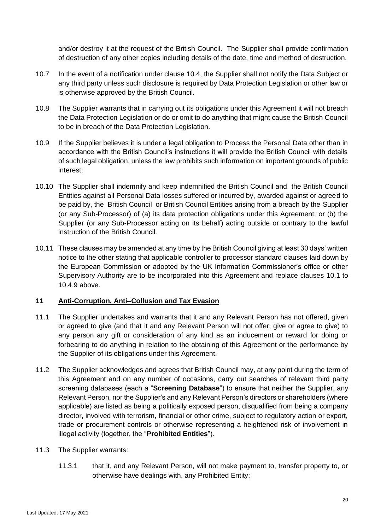and/or destroy it at the request of the British Council. The Supplier shall provide confirmation of destruction of any other copies including details of the date, time and method of destruction.

- 10.7 In the event of a notification under clause [10.4,](#page-17-0) the Supplier shall not notify the Data Subject or any third party unless such disclosure is required by Data Protection Legislation or other law or is otherwise approved by the British Council.
- 10.8 The Supplier warrants that in carrying out its obligations under this Agreement it will not breach the Data Protection Legislation or do or omit to do anything that might cause the British Council to be in breach of the Data Protection Legislation.
- <span id="page-19-0"></span>10.9 If the Supplier believes it is under a legal obligation to Process the Personal Data other than in accordance with the British Council's instructions it will provide the British Council with details of such legal obligation, unless the law prohibits such information on important grounds of public interest;
- 10.10 The Supplier shall indemnify and keep indemnified the British Council and the British Council Entities against all Personal Data losses suffered or incurred by, awarded against or agreed to be paid by, the British Council or British Council Entities arising from a breach by the Supplier (or any Sub-Processor) of (a) its data protection obligations under this Agreement; or (b) the Supplier (or any Sub-Processor acting on its behalf) acting outside or contrary to the lawful instruction of the British Council.
- 10.11 These clauses may be amended at any time by the British Council giving at least 30 days' written notice to the other stating that applicable controller to processor standard clauses laid down by the European Commission or adopted by the UK Information Commissioner's office or other Supervisory Authority are to be incorporated into this Agreement and replace clauses [10.1](#page-16-0) to [10.4.9](#page-18-0) above.

# <span id="page-19-4"></span>**11 Anti-Corruption, Anti–Collusion and Tax Evasion**

- <span id="page-19-3"></span>11.1 The Supplier undertakes and warrants that it and any Relevant Person has not offered, given or agreed to give (and that it and any Relevant Person will not offer, give or agree to give) to any person any gift or consideration of any kind as an inducement or reward for doing or forbearing to do anything in relation to the obtaining of this Agreement or the performance by the Supplier of its obligations under this Agreement.
- <span id="page-19-2"></span>11.2 The Supplier acknowledges and agrees that British Council may, at any point during the term of this Agreement and on any number of occasions, carry out searches of relevant third party screening databases (each a "**Screening Database**") to ensure that neither the Supplier, any Relevant Person, nor the Supplier's and any Relevant Person's directors or shareholders (where applicable) are listed as being a politically exposed person, disqualified from being a company director, involved with terrorism, financial or other crime, subject to regulatory action or export, trade or procurement controls or otherwise representing a heightened risk of involvement in illegal activity (together, the "**Prohibited Entities**").

# <span id="page-19-1"></span>11.3 The Supplier warrants:

11.3.1 that it, and any Relevant Person, will not make payment to, transfer property to, or otherwise have dealings with, any Prohibited Entity;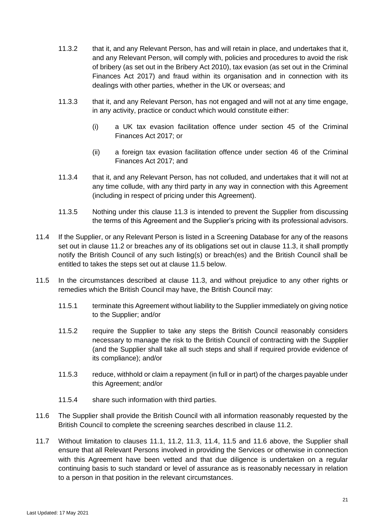- 11.3.2 that it, and any Relevant Person, has and will retain in place, and undertakes that it, and any Relevant Person, will comply with, policies and procedures to avoid the risk of bribery (as set out in the Bribery Act 2010), tax evasion (as set out in the Criminal Finances Act 2017) and fraud within its organisation and in connection with its dealings with other parties, whether in the UK or overseas; and
- 11.3.3 that it, and any Relevant Person, has not engaged and will not at any time engage, in any activity, practice or conduct which would constitute either:
	- (i) a UK tax evasion facilitation offence under section 45 of the Criminal Finances Act 2017; or
	- (ii) a foreign tax evasion facilitation offence under section 46 of the Criminal Finances Act 2017; and
- 11.3.4 that it, and any Relevant Person, has not colluded, and undertakes that it will not at any time collude, with any third party in any way in connection with this Agreement (including in respect of pricing under this Agreement).
- 11.3.5 Nothing under this clause [11.3](#page-19-1) is intended to prevent the Supplier from discussing the terms of this Agreement and the Supplier's pricing with its professional advisors.
- <span id="page-20-1"></span>11.4 If the Supplier, or any Relevant Person is listed in a Screening Database for any of the reasons set out in clause [11.2](#page-19-2) or breaches any of its obligations set out in clause [11.3,](#page-19-1) it shall promptly notify the British Council of any such listing(s) or breach(es) and the British Council shall be entitled to takes the steps set out at clause [11.5](#page-20-0) below.
- <span id="page-20-0"></span>11.5 In the circumstances described at clause [11.3,](#page-19-1) and without prejudice to any other rights or remedies which the British Council may have, the British Council may:
	- 11.5.1 terminate this Agreement without liability to the Supplier immediately on giving notice to the Supplier; and/or
	- 11.5.2 require the Supplier to take any steps the British Council reasonably considers necessary to manage the risk to the British Council of contracting with the Supplier (and the Supplier shall take all such steps and shall if required provide evidence of its compliance); and/or
	- 11.5.3 reduce, withhold or claim a repayment (in full or in part) of the charges payable under this Agreement; and/or
	- 11.5.4 share such information with third parties.
- <span id="page-20-2"></span>11.6 The Supplier shall provide the British Council with all information reasonably requested by the British Council to complete the screening searches described in clause [11.2.](#page-19-2)
- 11.7 Without limitation to clauses [11.1,](#page-19-3) [11.2,](#page-19-2) [11.3,](#page-19-1) [11.4,](#page-20-1) [11.5](#page-20-0) and [11.6](#page-20-2) above, the Supplier shall ensure that all Relevant Persons involved in providing the Services or otherwise in connection with this Agreement have been vetted and that due diligence is undertaken on a regular continuing basis to such standard or level of assurance as is reasonably necessary in relation to a person in that position in the relevant circumstances.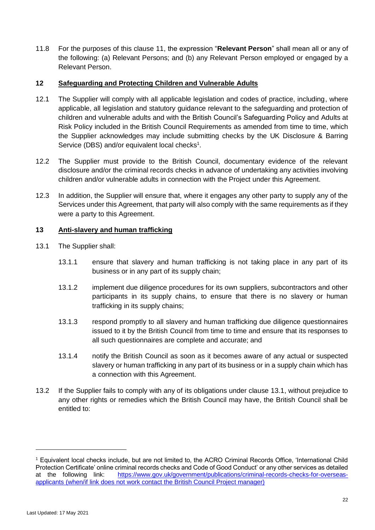11.8 For the purposes of this clause [11,](#page-19-4) the expression "**Relevant Person**" shall mean all or any of the following: (a) Relevant Persons; and (b) any Relevant Person employed or engaged by a Relevant Person.

# **12 Safeguarding and Protecting Children and Vulnerable Adults**

- 12.1 The Supplier will comply with all applicable legislation and codes of practice, including, where applicable, all legislation and statutory guidance relevant to the safeguarding and protection of children and vulnerable adults and with the British Council's Safeguarding Policy and Adults at Risk Policy included in the British Council Requirements as amended from time to time, which the Supplier acknowledges may include submitting checks by the UK Disclosure & Barring Service (DBS) and/or equivalent local checks<sup>1</sup>.
- 12.2 The Supplier must provide to the British Council, documentary evidence of the relevant disclosure and/or the criminal records checks in advance of undertaking any activities involving children and/or vulnerable adults in connection with the Project under this Agreement.
- 12.3 In addition, the Supplier will ensure that, where it engages any other party to supply any of the Services under this Agreement, that party will also comply with the same requirements as if they were a party to this Agreement.

#### **13 Anti-slavery and human trafficking**

- <span id="page-21-0"></span>13.1 The Supplier shall:
	- 13.1.1 ensure that slavery and human trafficking is not taking place in any part of its business or in any part of its supply chain;
	- 13.1.2 implement due diligence procedures for its own suppliers, subcontractors and other participants in its supply chains, to ensure that there is no slavery or human trafficking in its supply chains;
	- 13.1.3 respond promptly to all slavery and human trafficking due diligence questionnaires issued to it by the British Council from time to time and ensure that its responses to all such questionnaires are complete and accurate; and
	- 13.1.4 notify the British Council as soon as it becomes aware of any actual or suspected slavery or human trafficking in any part of its business or in a supply chain which has a connection with this Agreement.
- 13.2 If the Supplier fails to comply with any of its obligations under clause [13.1,](#page-21-0) without prejudice to any other rights or remedies which the British Council may have, the British Council shall be entitled to:

<sup>1</sup> Equivalent local checks include, but are not limited to, the ACRO Criminal Records Office, 'International Child Protection Certificate' online criminal records checks and Code of Good Conduct' or any other services as detailed at the following link: [https://www.gov.uk/government/publications/criminal-records-checks-for-overseas](https://www.gov.uk/government/publications/criminal-records-checks-for-overseas-applicants)[applicants](https://www.gov.uk/government/publications/criminal-records-checks-for-overseas-applicants) (when/if link does not work contact the British Council Project manager)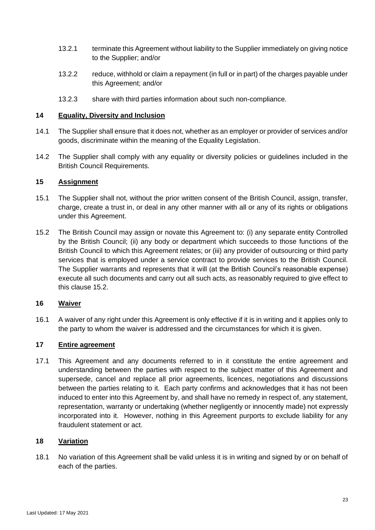- 13.2.1 terminate this Agreement without liability to the Supplier immediately on giving notice to the Supplier; and/or
- 13.2.2 reduce, withhold or claim a repayment (in full or in part) of the charges payable under this Agreement; and/or
- 13.2.3 share with third parties information about such non-compliance.

# **14 Equality, Diversity and Inclusion**

- 14.1 The Supplier shall ensure that it does not, whether as an employer or provider of services and/or goods, discriminate within the meaning of the Equality Legislation.
- 14.2 The Supplier shall comply with any equality or diversity policies or guidelines included in the British Council Requirements.

# <span id="page-22-2"></span>**15 Assignment**

- 15.1 The Supplier shall not, without the prior written consent of the British Council, assign, transfer, charge, create a trust in, or deal in any other manner with all or any of its rights or obligations under this Agreement.
- <span id="page-22-1"></span>15.2 The British Council may assign or novate this Agreement to: (i) any separate entity Controlled by the British Council; (ii) any body or department which succeeds to those functions of the British Council to which this Agreement relates; or (iii) any provider of outsourcing or third party services that is employed under a service contract to provide services to the British Council. The Supplier warrants and represents that it will (at the British Council's reasonable expense) execute all such documents and carry out all such acts, as reasonably required to give effect to this clause [15.2.](#page-22-1)

# **16 Waiver**

16.1 A waiver of any right under this Agreement is only effective if it is in writing and it applies only to the party to whom the waiver is addressed and the circumstances for which it is given.

# **17 Entire agreement**

17.1 This Agreement and any documents referred to in it constitute the entire agreement and understanding between the parties with respect to the subject matter of this Agreement and supersede, cancel and replace all prior agreements, licences, negotiations and discussions between the parties relating to it. Each party confirms and acknowledges that it has not been induced to enter into this Agreement by, and shall have no remedy in respect of, any statement, representation, warranty or undertaking (whether negligently or innocently made) not expressly incorporated into it. However, nothing in this Agreement purports to exclude liability for any fraudulent statement or act.

# <span id="page-22-0"></span>**18 Variation**

18.1 No variation of this Agreement shall be valid unless it is in writing and signed by or on behalf of each of the parties.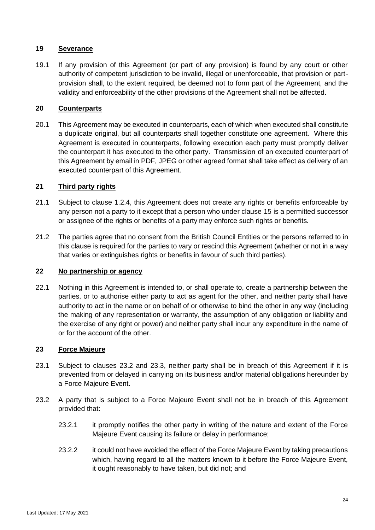# **19 Severance**

19.1 If any provision of this Agreement (or part of any provision) is found by any court or other authority of competent jurisdiction to be invalid, illegal or unenforceable, that provision or partprovision shall, to the extent required, be deemed not to form part of the Agreement, and the validity and enforceability of the other provisions of the Agreement shall not be affected.

# **20 Counterparts**

20.1 This Agreement may be executed in counterparts, each of which when executed shall constitute a duplicate original, but all counterparts shall together constitute one agreement. Where this Agreement is executed in counterparts, following execution each party must promptly deliver the counterpart it has executed to the other party. Transmission of an executed counterpart of this Agreement by email in PDF, JPEG or other agreed format shall take effect as delivery of an executed counterpart of this Agreement.

# **21 Third party rights**

- 21.1 Subject to clause [1.2.4,](#page-8-0) this Agreement does not create any rights or benefits enforceable by any person not a party to it except that a person who under clause [15](#page-22-2) is a permitted successor or assignee of the rights or benefits of a party may enforce such rights or benefits.
- 21.2 The parties agree that no consent from the British Council Entities or the persons referred to in this clause is required for the parties to vary or rescind this Agreement (whether or not in a way that varies or extinguishes rights or benefits in favour of such third parties).

# **22 No partnership or agency**

22.1 Nothing in this Agreement is intended to, or shall operate to, create a partnership between the parties, or to authorise either party to act as agent for the other, and neither party shall have authority to act in the name or on behalf of or otherwise to bind the other in any way (including the making of any representation or warranty, the assumption of any obligation or liability and the exercise of any right or power) and neither party shall incur any expenditure in the name of or for the account of the other.

# <span id="page-23-1"></span>**23 Force Majeure**

- 23.1 Subject to clauses [23.2](#page-23-0) and [23.3,](#page-24-1) neither party shall be in breach of this Agreement if it is prevented from or delayed in carrying on its business and/or material obligations hereunder by a Force Majeure Event.
- <span id="page-23-0"></span>23.2 A party that is subject to a Force Majeure Event shall not be in breach of this Agreement provided that:
	- 23.2.1 it promptly notifies the other party in writing of the nature and extent of the Force Majeure Event causing its failure or delay in performance;
	- 23.2.2 it could not have avoided the effect of the Force Majeure Event by taking precautions which, having regard to all the matters known to it before the Force Majeure Event, it ought reasonably to have taken, but did not; and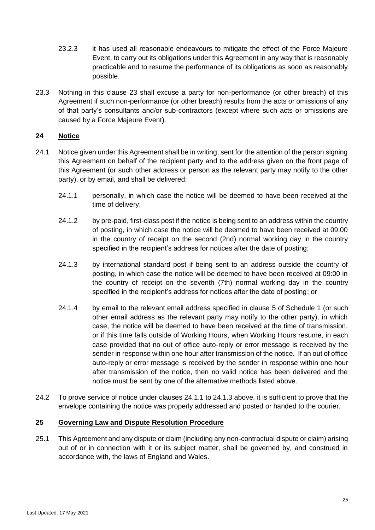- 23.2.3 it has used all reasonable endeavours to mitigate the effect of the Force Majeure Event, to carry out its obligations under this Agreement in any way that is reasonably practicable and to resume the performance of its obligations as soon as reasonably possible.
- <span id="page-24-1"></span>23.3 Nothing in this clause [23](#page-23-1) shall excuse a party for non-performance (or other breach) of this Agreement if such non-performance (or other breach) results from the acts or omissions of any of that party's consultants and/or sub-contractors (except where such acts or omissions are caused by a Force Majeure Event).

# <span id="page-24-0"></span>**24 Notice**

- <span id="page-24-3"></span><span id="page-24-2"></span>24.1 Notice given under this Agreement shall be in writing, sent for the attention of the person signing this Agreement on behalf of the recipient party and to the address given on the front page of this Agreement (or such other address or person as the relevant party may notify to the other party), or by email, and shall be delivered:
	- 24.1.1 personally, in which case the notice will be deemed to have been received at the time of delivery;
	- 24.1.2 by pre-paid, first-class post if the notice is being sent to an address within the country of posting, in which case the notice will be deemed to have been received at 09:00 in the country of receipt on the second (2nd) normal working day in the country specified in the recipient's address for notices after the date of posting;
	- 24.1.3 by international standard post if being sent to an address outside the country of posting, in which case the notice will be deemed to have been received at 09:00 in the country of receipt on the seventh (7th) normal working day in the country specified in the recipient's address for notices after the date of posting; or
	- 24.1.4 by email to the relevant email address specified in clause [5](#page-3-0) of Schedule 1 (or such other email address as the relevant party may notify to the other party), in which case, the notice will be deemed to have been received at the time of transmission, or if this time falls outside of Working Hours, when Working Hours resume, in each case provided that no out of office auto-reply or error message is received by the sender in response within one hour after transmission of the notice. If an out of office auto-reply or error message is received by the sender in response within one hour after transmission of the notice, then no valid notice has been delivered and the notice must be sent by one of the alternative methods listed above.
- 24.2 To prove service of notice under clauses [24.1.1](#page-24-2) to [24.1.3](#page-24-3) above, it is sufficient to prove that the envelope containing the notice was properly addressed and posted or handed to the courier.

# <span id="page-24-4"></span>**25 Governing Law and Dispute Resolution Procedure**

25.1 This Agreement and any dispute or claim (including any non-contractual dispute or claim) arising out of or in connection with it or its subject matter, shall be governed by, and construed in accordance with, the laws of England and Wales.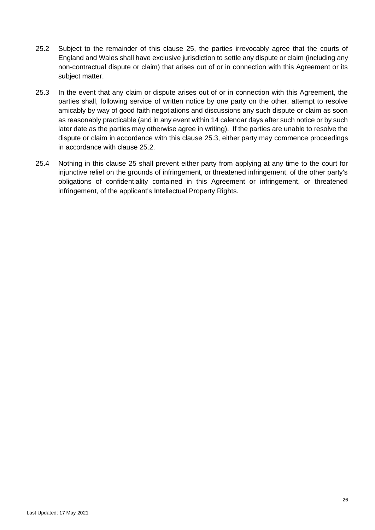- <span id="page-25-1"></span>25.2 Subject to the remainder of this clause [25,](#page-24-4) the parties irrevocably agree that the courts of England and Wales shall have exclusive jurisdiction to settle any dispute or claim (including any non-contractual dispute or claim) that arises out of or in connection with this Agreement or its subject matter.
- <span id="page-25-0"></span>25.3 In the event that any claim or dispute arises out of or in connection with this Agreement, the parties shall, following service of written notice by one party on the other, attempt to resolve amicably by way of good faith negotiations and discussions any such dispute or claim as soon as reasonably practicable (and in any event within 14 calendar days after such notice or by such later date as the parties may otherwise agree in writing). If the parties are unable to resolve the dispute or claim in accordance with this clause [25.3,](#page-25-0) either party may commence proceedings in accordance with clause [25.2.](#page-25-1)
- 25.4 Nothing in this clause [25](#page-24-4) shall prevent either party from applying at any time to the court for injunctive relief on the grounds of infringement, or threatened infringement, of the other party's obligations of confidentiality contained in this Agreement or infringement, or threatened infringement, of the applicant's Intellectual Property Rights.